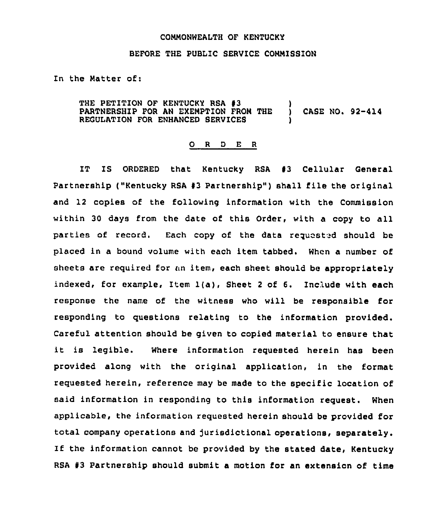## COMMONWEALTH OF KENTUCKY

## BEFORE THE PUBLIC SERVICE COMMISSION

In the Matter of:

THE PETITION OF KENTUCKY RSA #3 (1)<br>PARTNERSHIP FOR AN EXEMPTION FROM THE (1) PARTNERSHIP FOR AN EXEMPTION FROM THE ) CASE NO. 92-414 REGULATION FOR ENHANCED SERVICES

## 0 <sup>R</sup> <sup>D</sup> E <sup>R</sup>

IT IS ORDERED that Kentucky RSA 43 Cellular General Partnership ("Kentucky RSA #3 Partnership") shall file the original and 12 copies of the following information with the Commission within 30 days from the date of this Order, with a copy to all parties of record. Each copy of the data requested should be placed in a bound volume with each item tabbed. When a number of sheets are required for an item, each sheet should be appropriately indexed, for example, Item 1(a), Sheet <sup>2</sup> of 6, Include with each response the name of the witness who will be responsible for responding to questions relating to the information provided. Careful attention should be given to copied material to ensure that it is legible. where information requested herein has been provided along with the original application, in the format requested herein, reference may be made to the specific location of said information in responding to this information request. When applicable, the information requested herein should be provided for total company operations and Jurisdictional operations, separately. lf the information cannot be provided by the stated date, Kentucky RSA 43 Partnership should submit a motion for an extension of time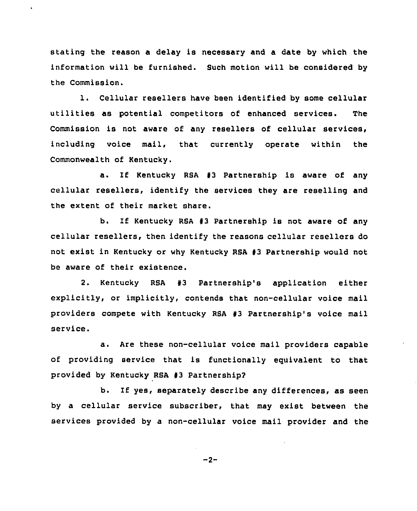stating the reason a delay is necessary and a date by which the information will be furnished. Such motion will be considered by the Commission.

1. Cellular resellers have been identified by some cellular utilities as potential competitors of enhanced services. The Commission is not aware of any resellers of cellular services, including voice mail, that currently operate within the Commonwealth of Kentucky.

a. If Kentucky RSA #3 Partnership is aware of any cellular resellers, identify the services they are reselling and the extent of their market share.

b. If Kentucky RSA <sup>43</sup> Partnership is not aware of any cellular resellers, then identify the reasons cellular resellers do not exist in Kentucky or why Kentucky RSA 43 Partnership would not be aware of their existence.

2. Kentucky RSA 43 Partnership's application either explicitly, or implicitly, contends that non-cellular voice mail providers compete with Kentucky RSA 43 Partnership's voice mail service.

a. Are these non-cellular voice mail providers capable of providing service that is functionally equivalent to that provided by Kentucky RSA 43 Partnership?

b. If yes, separately describe any differences, as seen by a cellular service subscriber, that may exist between the services provided by a non-cellular voice mail provider and the

$$
-2 -
$$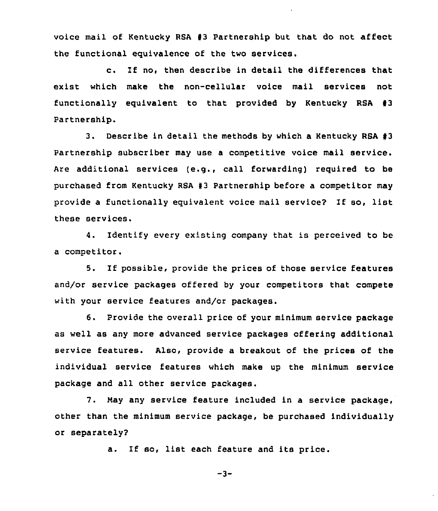voice mail of Kentucky RSA #3 Partnership but that do not affect the functional equivalence of the two services.

c. If no, then describe in detail the differences that exist which make the non-cellular voice mail services not functionally equivalent to that provided by Kentucky RSA  $#3$ Partnership.

3. Describe in detail the methods by which a Kentucky RSA 43 Partnership subscriber may use a competitive voice mail service. Are additional services (e.g., call forwarding) required to be purchased from Kentucky RSA 43 Partnership before a competitor may provide <sup>a</sup> functionally equivalent voice mail service? If so, list these services.

4. Identify every existing company that is perceived to be a competitor.

5. If possible, provide the prices of those service features and/or service packages offered by your competitors that compete with your service features and/or packages.

6. Provide the overall price of your minimum service package as well as any more advanced service packages offering additional service features. Also, provide a breakout of the prices of the individual service features which make up the minimum service package and all other service packages.

7. May any service feature included in a service package, other than the minimum service package, be purchased individually or separately2

a. If so, list each feature and its price.

$$
-3-
$$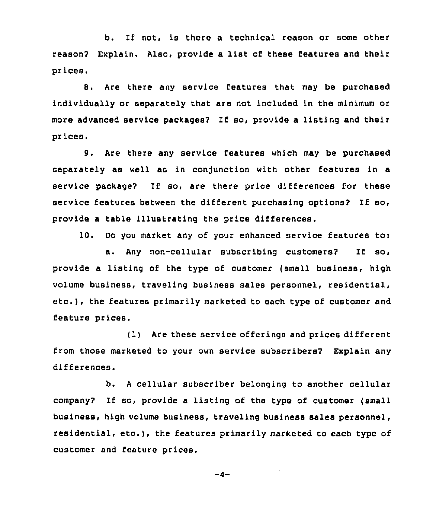b. If not, is there a technical reason or some other reason2 Explain. Also, provide <sup>a</sup> list of these features and their prices,

8. Are there any service features that may be purchased individually or separately that are not included in the minimum or more advanced service packages2 If so, provide a listing and their prices.

9. Are there any service features which may be purchased separately as well as in conjunction with other features in a service package? If so, are there price differences for these service features between the different purchasing options? If so, provide a table illustrating the price differences.

10. Do you market any of your enhanced service features to:

a. Any non-cellular subscribing customers2 If so, provide a listing of the type of customer (small business, high volume business, traveling business Bales personnel, residential, etc.), the features primarily marketed to each type of customer and feature prices.

(1) Are these service offerings and prices different from those marketed to your own service subscribers2 Explain any differences.

b. <sup>A</sup> cellular subscriber belonging to another cellular company2 If so, provide a listing of the type of customer (small business, high volume business, traveling business sales personnel, residential, etc.), the features primarily marketed to each type of customer and feature prices.

 $-4-$